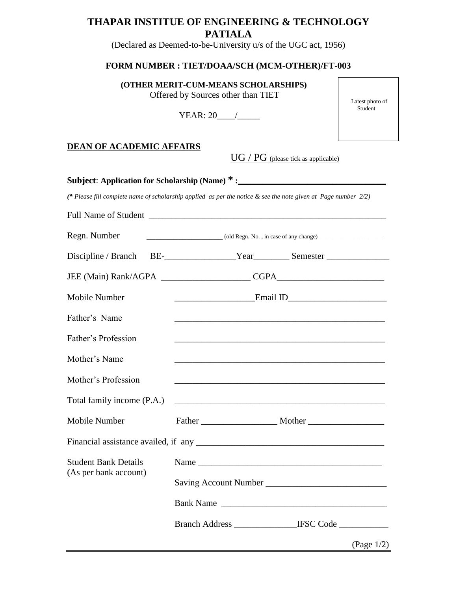# **THAPAR INSTITUE OF ENGINEERING & TECHNOLOGY PATIALA**

(Declared as Deemed-to-be-University u/s of the UGC act, 1956)

## **FORM NUMBER : TIET/DOAA/SCH (MCM-OTHER)/FT-003**

**(OTHER MERIT-CUM-MEANS SCHOLARSHIPS)**  Offered by Sources other than TIET

YEAR: 20 /

 Latest photo of Student

#### **DEAN OF ACADEMIC AFFAIRS**

UG / PG (please tick as applicable)

|                                                      | (* Please fill complete name of scholarship applied as per the notice & see the note given at Page number 2/2)       |  |  |  |
|------------------------------------------------------|----------------------------------------------------------------------------------------------------------------------|--|--|--|
|                                                      |                                                                                                                      |  |  |  |
| Regn. Number                                         |                                                                                                                      |  |  |  |
|                                                      |                                                                                                                      |  |  |  |
|                                                      |                                                                                                                      |  |  |  |
| Mobile Number                                        |                                                                                                                      |  |  |  |
| Father's Name                                        |                                                                                                                      |  |  |  |
| Father's Profession                                  |                                                                                                                      |  |  |  |
| Mother's Name                                        |                                                                                                                      |  |  |  |
| Mother's Profession                                  |                                                                                                                      |  |  |  |
| Total family income (P.A.)                           | <u> 1989 - Johann John Stein, marwolaeth a brenin a brenin a brenin a brenin a brenin a brenin a brenin a brenin</u> |  |  |  |
| Mobile Number                                        |                                                                                                                      |  |  |  |
|                                                      |                                                                                                                      |  |  |  |
| <b>Student Bank Details</b><br>(As per bank account) | Name                                                                                                                 |  |  |  |
|                                                      |                                                                                                                      |  |  |  |
|                                                      |                                                                                                                      |  |  |  |
|                                                      |                                                                                                                      |  |  |  |
|                                                      | (Page $1/2$ )                                                                                                        |  |  |  |